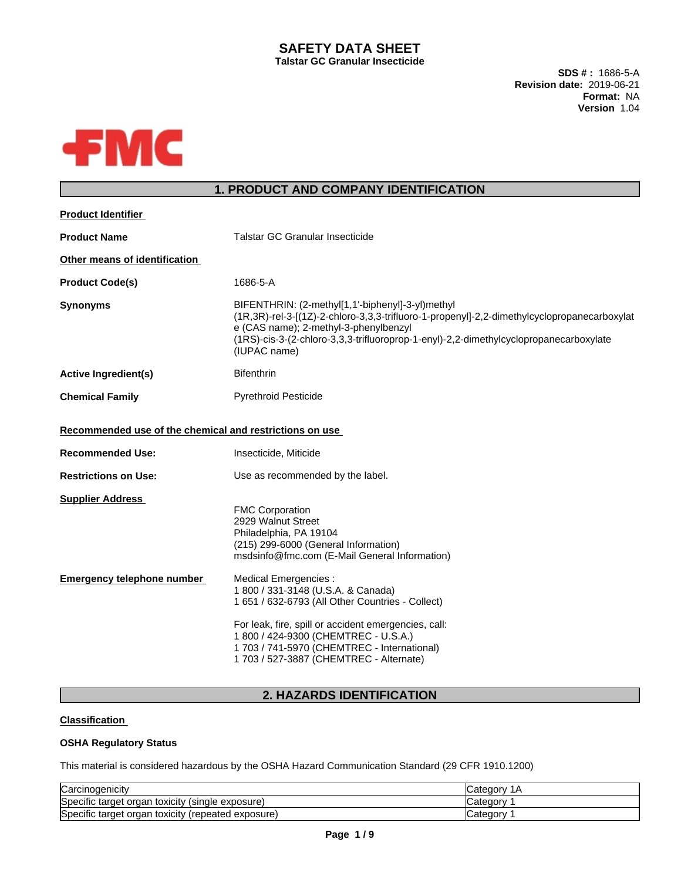## **SAFETY DATA SHEET Talstar GC Granular Insecticide**

**SDS # :** 1686-5-A **Revision date:** 2019-06-21 **Format:** NA **Version** 1.04



# **1. PRODUCT AND COMPANY IDENTIFICATION**

| <b>Product Identifier</b>                               |                                                                                                                                                                                                                                                                                                           |
|---------------------------------------------------------|-----------------------------------------------------------------------------------------------------------------------------------------------------------------------------------------------------------------------------------------------------------------------------------------------------------|
| <b>Product Name</b>                                     | Talstar GC Granular Insecticide                                                                                                                                                                                                                                                                           |
| Other means of identification                           |                                                                                                                                                                                                                                                                                                           |
| <b>Product Code(s)</b>                                  | 1686-5-A                                                                                                                                                                                                                                                                                                  |
| <b>Synonyms</b>                                         | BIFENTHRIN: (2-methyl[1,1'-biphenyl]-3-yl)methyl<br>(1R,3R)-rel-3-[(1Z)-2-chloro-3,3,3-trifluoro-1-propenyl]-2,2-dimethylcyclopropanecarboxylat<br>e (CAS name); 2-methyl-3-phenylbenzyl<br>(1RS)-cis-3-(2-chloro-3,3,3-trifluoroprop-1-enyl)-2,2-dimethylcyclopropanecarboxylate<br>(IUPAC name)         |
| <b>Active Ingredient(s)</b>                             | <b>Bifenthrin</b>                                                                                                                                                                                                                                                                                         |
| <b>Chemical Family</b>                                  | <b>Pyrethroid Pesticide</b>                                                                                                                                                                                                                                                                               |
| Recommended use of the chemical and restrictions on use |                                                                                                                                                                                                                                                                                                           |
| <b>Recommended Use:</b>                                 | Insecticide, Miticide                                                                                                                                                                                                                                                                                     |
| <b>Restrictions on Use:</b>                             | Use as recommended by the label.                                                                                                                                                                                                                                                                          |
| <b>Supplier Address</b>                                 | <b>FMC Corporation</b><br>2929 Walnut Street<br>Philadelphia, PA 19104<br>(215) 299-6000 (General Information)<br>msdsinfo@fmc.com (E-Mail General Information)                                                                                                                                           |
| <b>Emergency telephone number</b>                       | Medical Emergencies :<br>1 800 / 331-3148 (U.S.A. & Canada)<br>1 651 / 632-6793 (All Other Countries - Collect)<br>For leak, fire, spill or accident emergencies, call:<br>1 800 / 424-9300 (CHEMTREC - U.S.A.)<br>1 703 / 741-5970 (CHEMTREC - International)<br>1 703 / 527-3887 (CHEMTREC - Alternate) |
|                                                         |                                                                                                                                                                                                                                                                                                           |

# **2. HAZARDS IDENTIFICATION**

## **Classification**

## **OSHA Regulatory Status**

This material is considered hazardous by the OSHA Hazard Communication Standard (29 CFR 1910.1200)

| Carcinogenicity                                       | Categor <sup>*</sup><br>1Α |
|-------------------------------------------------------|----------------------------|
| Specific target organ<br>toxicity (single exposure) ١ | Categor <sup>®</sup>       |
| Specific target organ toxicity<br>(repeated exposure) | 'dtedorٽ                   |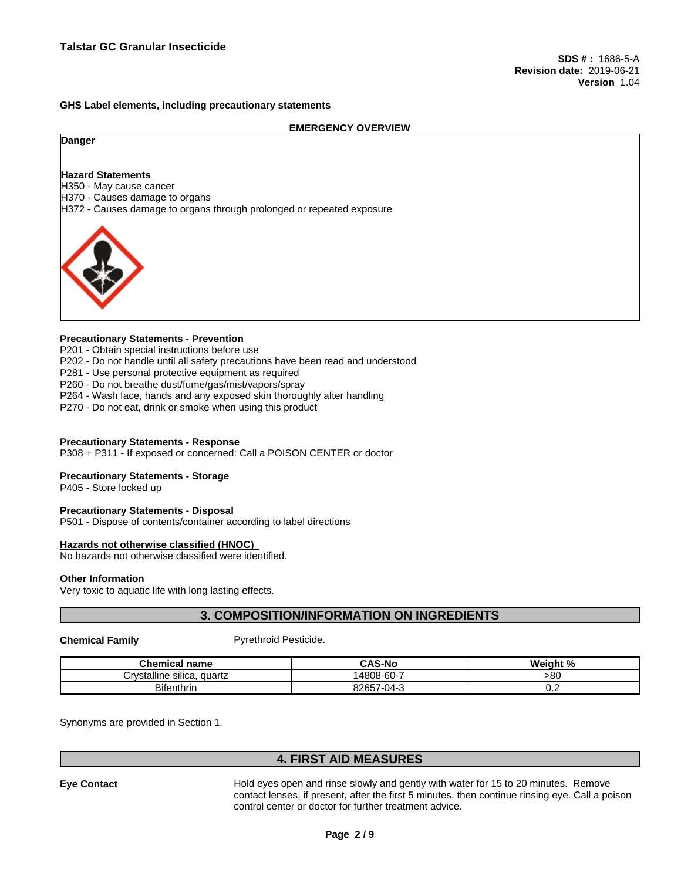#### **GHS Label elements, including precautionary statements**

#### **EMERGENCY OVERVIEW**

#### **Danger**

#### **Hazard Statements**

H350 - May cause cancer

H370 - Causes damage to organs

H372 - Causes damage to organs through prolonged or repeated exposure



## **Precautionary Statements - Prevention**

P201 - Obtain special instructions before use

- P202 Do not handle until all safety precautions have been read and understood
- P281 Use personal protective equipment as required
- P260 Do not breathe dust/fume/gas/mist/vapors/spray
- P264 Wash face, hands and any exposed skin thoroughly after handling
- P270 Do not eat, drink or smoke when using this product

#### **Precautionary Statements - Response**

P308 + P311 - If exposed or concerned: Call a POISON CENTER or doctor

#### **Precautionary Statements - Storage**

P405 - Store locked up

#### **Precautionary Statements - Disposal**

P501 - Dispose of contents/container according to label directions

#### **Hazards not otherwise classified (HNOC)**

No hazards not otherwise classified were identified.

#### **Other Information**

Very toxic to aquatic life with long lasting effects.

## **3. COMPOSITION/INFORMATION ON INGREDIENTS**

**Chemical Family Pyrethroid Pesticide.** 

| name<br>mıcal<br>я ка                                  | <b>CAS-No</b>                   | - 07<br><br>veiai.<br>70 |
|--------------------------------------------------------|---------------------------------|--------------------------|
| $\cdots$<br><br>'n /et:<br>vstalline silica.<br>quartz | -60-<br>4808-                   | >80                      |
| <b>Bifenthrin</b>                                      | 8265<br>-<br>٠۱Л.<br>די י<br>ر. | v.c                      |

Synonyms are provided in Section 1.

## **4. FIRST AID MEASURES**

**Eye Contact** Hold eyes open and rinse slowly and gently with water for 15 to 20 minutes. Remove contact lenses, if present, after the first 5 minutes, then continue rinsing eye. Call a poison control center or doctor for further treatment advice.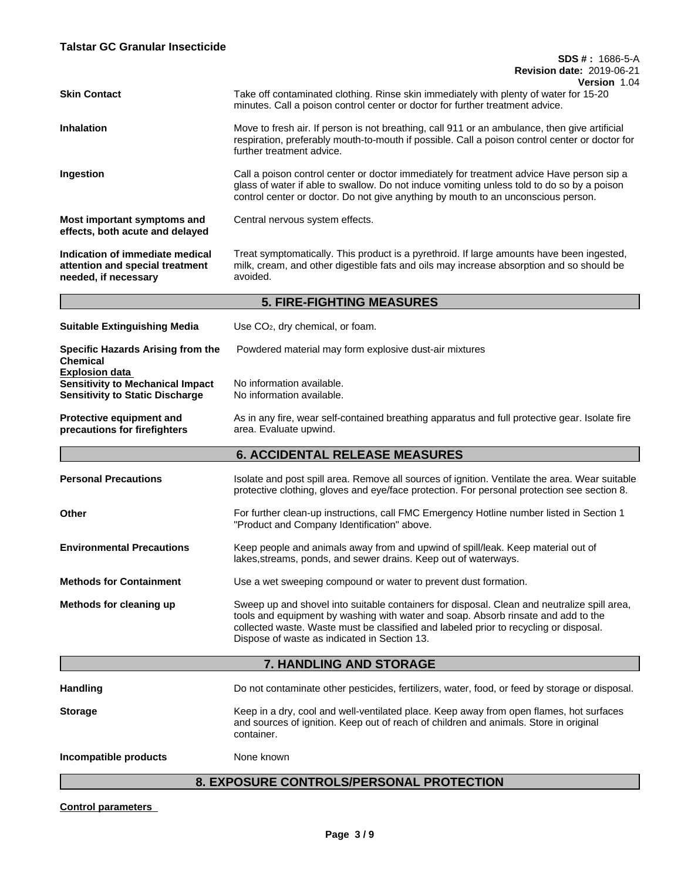|                                                                                                            | Version 1.04                                                                                                                                                                                                                                                                                                              |
|------------------------------------------------------------------------------------------------------------|---------------------------------------------------------------------------------------------------------------------------------------------------------------------------------------------------------------------------------------------------------------------------------------------------------------------------|
| <b>Skin Contact</b>                                                                                        | Take off contaminated clothing. Rinse skin immediately with plenty of water for 15-20<br>minutes. Call a poison control center or doctor for further treatment advice.                                                                                                                                                    |
| <b>Inhalation</b>                                                                                          | Move to fresh air. If person is not breathing, call 911 or an ambulance, then give artificial<br>respiration, preferably mouth-to-mouth if possible. Call a poison control center or doctor for<br>further treatment advice.                                                                                              |
| Ingestion                                                                                                  | Call a poison control center or doctor immediately for treatment advice Have person sip a<br>glass of water if able to swallow. Do not induce vomiting unless told to do so by a poison<br>control center or doctor. Do not give anything by mouth to an unconscious person.                                              |
| Most important symptoms and<br>effects, both acute and delayed                                             | Central nervous system effects.                                                                                                                                                                                                                                                                                           |
| Indication of immediate medical<br>attention and special treatment<br>needed, if necessary                 | Treat symptomatically. This product is a pyrethroid. If large amounts have been ingested,<br>milk, cream, and other digestible fats and oils may increase absorption and so should be<br>avoided.                                                                                                                         |
|                                                                                                            | <b>5. FIRE-FIGHTING MEASURES</b>                                                                                                                                                                                                                                                                                          |
| <b>Suitable Extinguishing Media</b>                                                                        | Use CO <sub>2</sub> , dry chemical, or foam.                                                                                                                                                                                                                                                                              |
| Specific Hazards Arising from the<br><b>Chemical</b>                                                       | Powdered material may form explosive dust-air mixtures                                                                                                                                                                                                                                                                    |
| <b>Explosion data</b><br><b>Sensitivity to Mechanical Impact</b><br><b>Sensitivity to Static Discharge</b> | No information available.<br>No information available.                                                                                                                                                                                                                                                                    |
| Protective equipment and<br>precautions for firefighters                                                   | As in any fire, wear self-contained breathing apparatus and full protective gear. Isolate fire<br>area. Evaluate upwind.                                                                                                                                                                                                  |
|                                                                                                            | <b>6. ACCIDENTAL RELEASE MEASURES</b>                                                                                                                                                                                                                                                                                     |
| <b>Personal Precautions</b>                                                                                | Isolate and post spill area. Remove all sources of ignition. Ventilate the area. Wear suitable<br>protective clothing, gloves and eye/face protection. For personal protection see section 8.                                                                                                                             |
| Other                                                                                                      | For further clean-up instructions, call FMC Emergency Hotline number listed in Section 1<br>"Product and Company Identification" above.                                                                                                                                                                                   |
| <b>Environmental Precautions</b>                                                                           | Keep people and animals away from and upwind of spill/leak. Keep material out of<br>lakes, streams, ponds, and sewer drains. Keep out of waterways.                                                                                                                                                                       |
| <b>Methods for Containment</b>                                                                             | Use a wet sweeping compound or water to prevent dust formation.                                                                                                                                                                                                                                                           |
| Methods for cleaning up                                                                                    | Sweep up and shovel into suitable containers for disposal. Clean and neutralize spill area,<br>tools and equipment by washing with water and soap. Absorb rinsate and add to the<br>collected waste. Waste must be classified and labeled prior to recycling or disposal.<br>Dispose of waste as indicated in Section 13. |
|                                                                                                            | 7. HANDLING AND STORAGE                                                                                                                                                                                                                                                                                                   |
| <b>Handling</b>                                                                                            | Do not contaminate other pesticides, fertilizers, water, food, or feed by storage or disposal.                                                                                                                                                                                                                            |
| <b>Storage</b>                                                                                             | Keep in a dry, cool and well-ventilated place. Keep away from open flames, hot surfaces<br>and sources of ignition. Keep out of reach of children and animals. Store in original<br>container.                                                                                                                            |
| Incompatible products                                                                                      | None known                                                                                                                                                                                                                                                                                                                |
|                                                                                                            |                                                                                                                                                                                                                                                                                                                           |

# **8. EXPOSURE CONTROLS/PERSONAL PROTECTION**

**Control parameters**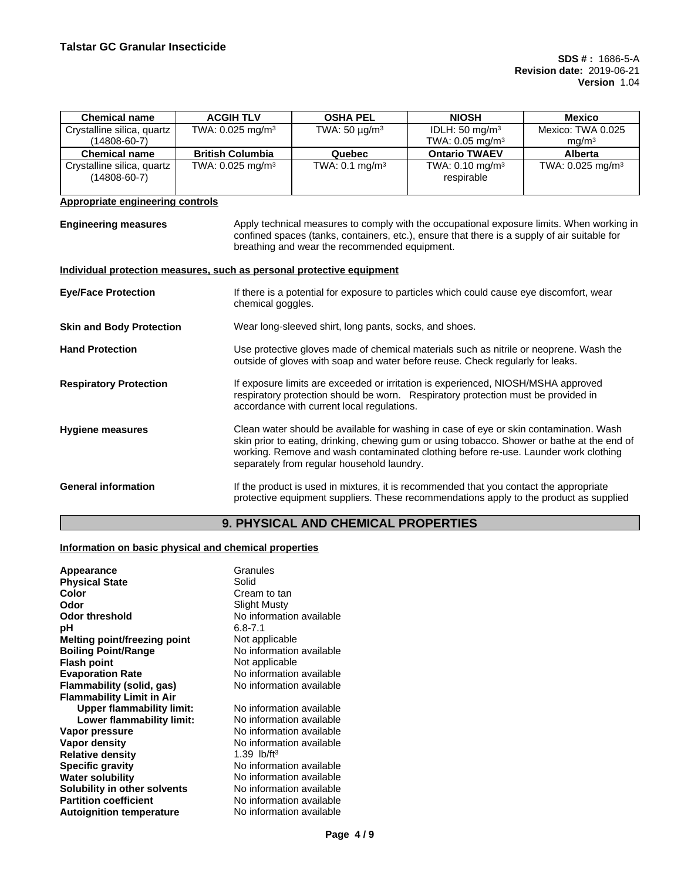| <b>Chemical name</b>                                                  | <b>ACGIH TLV</b>               | <b>OSHA PEL</b>                                        | <b>NIOSH</b>                                                                                                                                                                                                                                                                 | <b>Mexico</b>                          |
|-----------------------------------------------------------------------|--------------------------------|--------------------------------------------------------|------------------------------------------------------------------------------------------------------------------------------------------------------------------------------------------------------------------------------------------------------------------------------|----------------------------------------|
| Crystalline silica, quartz<br>$(14808 - 60 - 7)$                      | TWA: $0.025$ mg/m <sup>3</sup> | TWA: 50 $\mu$ g/m <sup>3</sup>                         | IDLH: $50 \text{ mg/m}^3$<br>TWA: 0.05 mg/m <sup>3</sup>                                                                                                                                                                                                                     | Mexico: TWA 0.025<br>mg/m <sup>3</sup> |
| <b>Chemical name</b>                                                  | <b>British Columbia</b>        | Quebec                                                 | <b>Ontario TWAEV</b>                                                                                                                                                                                                                                                         | <b>Alberta</b>                         |
| Crystalline silica, quartz<br>$(14808 - 60 - 7)$                      | TWA: $0.025$ mg/m <sup>3</sup> | TWA: $0.1 \text{ mg/m}^3$                              | TWA: $0.10$ mg/m <sup>3</sup><br>respirable                                                                                                                                                                                                                                  | TWA: $0.025$ mg/m <sup>3</sup>         |
| <b>Appropriate engineering controls</b>                               |                                |                                                        |                                                                                                                                                                                                                                                                              |                                        |
| <b>Engineering measures</b>                                           |                                | breathing and wear the recommended equipment.          | Apply technical measures to comply with the occupational exposure limits. When working in<br>confined spaces (tanks, containers, etc.), ensure that there is a supply of air suitable for                                                                                    |                                        |
| Individual protection measures, such as personal protective equipment |                                |                                                        |                                                                                                                                                                                                                                                                              |                                        |
| <b>Eye/Face Protection</b>                                            | chemical goggles.              |                                                        | If there is a potential for exposure to particles which could cause eye discomfort, wear                                                                                                                                                                                     |                                        |
| <b>Skin and Body Protection</b>                                       |                                | Wear long-sleeved shirt, long pants, socks, and shoes. |                                                                                                                                                                                                                                                                              |                                        |
| <b>Hand Protection</b>                                                |                                |                                                        | Use protective gloves made of chemical materials such as nitrile or neoprene. Wash the<br>outside of gloves with soap and water before reuse. Check regularly for leaks.                                                                                                     |                                        |
| <b>Respiratory Protection</b>                                         |                                | accordance with current local regulations.             | If exposure limits are exceeded or irritation is experienced, NIOSH/MSHA approved<br>respiratory protection should be worn. Respiratory protection must be provided in                                                                                                       |                                        |
| <b>Hygiene measures</b>                                               |                                | separately from regular household laundry.             | Clean water should be available for washing in case of eye or skin contamination. Wash<br>skin prior to eating, drinking, chewing gum or using tobacco. Shower or bathe at the end of<br>working. Remove and wash contaminated clothing before re-use. Launder work clothing |                                        |
| <b>General information</b>                                            |                                |                                                        | If the product is used in mixtures, it is recommended that you contact the appropriate<br>protective equipment suppliers. These recommendations apply to the product as supplied                                                                                             |                                        |

# **9. PHYSICAL AND CHEMICAL PROPERTIES**

# **Information on basic physical and chemical properties**

| Appearance                                                                                                                                                                                                                                                                                                               | Granules                                                                                                                                                                                                                                                                   |
|--------------------------------------------------------------------------------------------------------------------------------------------------------------------------------------------------------------------------------------------------------------------------------------------------------------------------|----------------------------------------------------------------------------------------------------------------------------------------------------------------------------------------------------------------------------------------------------------------------------|
| <b>Physical State</b>                                                                                                                                                                                                                                                                                                    | Solid                                                                                                                                                                                                                                                                      |
| Color                                                                                                                                                                                                                                                                                                                    | Cream to tan                                                                                                                                                                                                                                                               |
| Odor                                                                                                                                                                                                                                                                                                                     | Slight Musty                                                                                                                                                                                                                                                               |
| <b>Odor threshold</b>                                                                                                                                                                                                                                                                                                    | No information available                                                                                                                                                                                                                                                   |
| рH                                                                                                                                                                                                                                                                                                                       | $6.8 - 7.1$                                                                                                                                                                                                                                                                |
| Melting point/freezing point                                                                                                                                                                                                                                                                                             | Not applicable                                                                                                                                                                                                                                                             |
| <b>Boiling Point/Range</b>                                                                                                                                                                                                                                                                                               | No information available                                                                                                                                                                                                                                                   |
| <b>Flash point</b>                                                                                                                                                                                                                                                                                                       | Not applicable                                                                                                                                                                                                                                                             |
| <b>Evaporation Rate</b>                                                                                                                                                                                                                                                                                                  | No information available                                                                                                                                                                                                                                                   |
| Flammability (solid, gas)                                                                                                                                                                                                                                                                                                | No information available                                                                                                                                                                                                                                                   |
| <b>Flammability Limit in Air</b><br><b>Upper flammability limit:</b><br>Lower flammability limit:<br>Vapor pressure<br>Vapor density<br><b>Relative density</b><br><b>Specific gravity</b><br><b>Water solubility</b><br>Solubility in other solvents<br><b>Partition coefficient</b><br><b>Autoignition temperature</b> | No information available<br>No information available<br>No information available<br>No information available<br>1.39 $lb/ft^3$<br>No information available<br>No information available<br>No information available<br>No information available<br>No information available |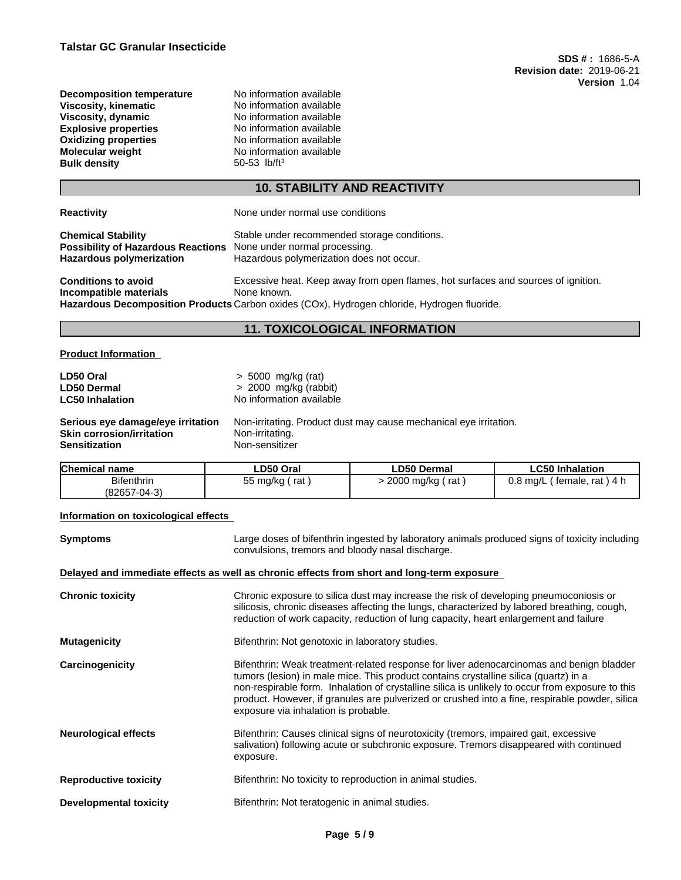| <b>Decomposition temperature</b> |
|----------------------------------|
| Viscosity, kinematic             |
| Viscosity, dynamic               |
| <b>Explosive properties</b>      |
| <b>Oxidizing properties</b>      |
| <b>Molecular weight</b>          |
| <b>Bulk density</b>              |
|                                  |

**No information available Viscosity, kinematic** No information available **Viscosity, dynamic** No information available **No information available No information available No information available Bulk density** 50-53 lb/ft<sup>3</sup>

# **10. STABILITY AND REACTIVITY**

| <b>Reactivity</b>                                                                                                                | None under normal use conditions                                                                                                                                                                |
|----------------------------------------------------------------------------------------------------------------------------------|-------------------------------------------------------------------------------------------------------------------------------------------------------------------------------------------------|
| <b>Chemical Stability</b><br><b>Possibility of Hazardous Reactions</b> None under normal processing.<br>Hazardous polymerization | Stable under recommended storage conditions.<br>Hazardous polymerization does not occur.                                                                                                        |
| <b>Conditions to avoid</b><br>Incompatible materials                                                                             | Excessive heat. Keep away from open flames, hot surfaces and sources of ignition.<br>None known.<br>Hazardous Decomposition Products Carbon oxides (COx), Hydrogen chloride, Hydrogen fluoride. |

# **11. TOXICOLOGICAL INFORMATION**

## **Product Information**

| LD50 Oral                         | $> 5000$ mg/kg (rat)                                              |
|-----------------------------------|-------------------------------------------------------------------|
| <b>LD50 Dermal</b>                | $> 2000$ mg/kg (rabbit)                                           |
| <b>LC50 Inhalation</b>            | No information available                                          |
| Serious eye damage/eye irritation | Non-irritating. Product dust may cause mechanical eye irritation. |
| Skin corrosion/irritation         | Non-irritating.                                                   |
| Sensitization                     | Non-sensitizer                                                    |

| <b>Bifenthrin</b><br>2000 mg/kg<br>$0.8$ ma/L<br>rat ) 4 h<br>55 mg/kg<br>rat<br>rat<br>female.<br>(82657-04-3) | <b>Chemical name</b> | ∟D50 Oral | <b>LD50 Dermal</b> | ∟C50 Inhalation |
|-----------------------------------------------------------------------------------------------------------------|----------------------|-----------|--------------------|-----------------|
|                                                                                                                 |                      |           |                    |                 |

## **Information on toxicological effects**

| <b>Symptoms</b>               | Large doses of bifenthrin ingested by laboratory animals produced signs of toxicity including<br>convulsions, tremors and bloody nasal discharge.                                                                                                                                                                                                                                                                              |
|-------------------------------|--------------------------------------------------------------------------------------------------------------------------------------------------------------------------------------------------------------------------------------------------------------------------------------------------------------------------------------------------------------------------------------------------------------------------------|
|                               | Delayed and immediate effects as well as chronic effects from short and long-term exposure                                                                                                                                                                                                                                                                                                                                     |
| <b>Chronic toxicity</b>       | Chronic exposure to silica dust may increase the risk of developing pneumoconiosis or<br>silicosis, chronic diseases affecting the lungs, characterized by labored breathing, cough,<br>reduction of work capacity, reduction of lung capacity, heart enlargement and failure                                                                                                                                                  |
| <b>Mutagenicity</b>           | Bifenthrin: Not genotoxic in laboratory studies.                                                                                                                                                                                                                                                                                                                                                                               |
| Carcinogenicity               | Bifenthrin: Weak treatment-related response for liver adenocarcinomas and benign bladder<br>tumors (lesion) in male mice. This product contains crystalline silica (quartz) in a<br>non-respirable form. Inhalation of crystalline silica is unlikely to occur from exposure to this<br>product. However, if granules are pulverized or crushed into a fine, respirable powder, silica<br>exposure via inhalation is probable. |
| <b>Neurological effects</b>   | Bifenthrin: Causes clinical signs of neurotoxicity (tremors, impaired gait, excessive<br>salivation) following acute or subchronic exposure. Tremors disappeared with continued<br>exposure.                                                                                                                                                                                                                                   |
| <b>Reproductive toxicity</b>  | Bifenthrin: No toxicity to reproduction in animal studies.                                                                                                                                                                                                                                                                                                                                                                     |
| <b>Developmental toxicity</b> | Bifenthrin: Not teratogenic in animal studies.                                                                                                                                                                                                                                                                                                                                                                                 |
|                               |                                                                                                                                                                                                                                                                                                                                                                                                                                |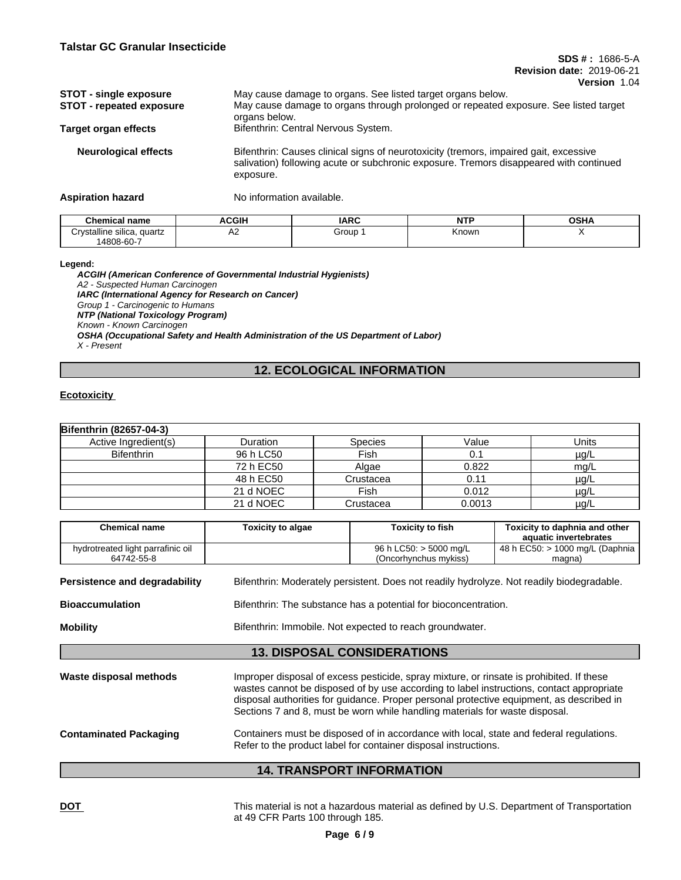| <b>STOT - single exposure</b><br><b>STOT - repeated exposure</b> | May cause damage to organs. See listed target organs below.<br>May cause damage to organs through prolonged or repeated exposure. See listed target<br>organs below.                         |
|------------------------------------------------------------------|----------------------------------------------------------------------------------------------------------------------------------------------------------------------------------------------|
| <b>Target organ effects</b>                                      | Bifenthrin: Central Nervous System.                                                                                                                                                          |
| <b>Neurological effects</b>                                      | Bifenthrin: Causes clinical signs of neurotoxicity (tremors, impaired gait, excessive<br>salivation) following acute or subchronic exposure. Tremors disappeared with continued<br>exposure. |

**Aspiration hazard** No information available.

| Chemical name                              | <b>ACGIH</b> | <b>IARC</b> | <b>NTP</b> | <b>OSHA</b> |
|--------------------------------------------|--------------|-------------|------------|-------------|
| Crvstalline<br>quartz<br>: sılıca.<br>۱۰ ا | .            | Group       | Known      |             |
| 14808-60-7                                 |              |             |            |             |

**Legend:**

*ACGIH (American Conference of Governmental Industrial Hygienists) A2 - Suspected Human Carcinogen IARC (International Agency for Research on Cancer) Group 1 - Carcinogenic to Humans NTP (National Toxicology Program) Known - Known Carcinogen OSHA (Occupational Safety and Health Administration of the US Department of Labor) X - Present*

# **12. ECOLOGICAL INFORMATION**

## **Ecotoxicity**

| <b>Bifenthrin (82657-04-3)</b> |           |                |        |           |
|--------------------------------|-----------|----------------|--------|-----------|
| Active Ingredient(s)           | Duration  | <b>Species</b> | Value  | Units     |
| <b>Bifenthrin</b>              | 96 h LC50 | Fish           | 0.1    | $\mu$ g/L |
|                                | 72 h EC50 | Algae          | 0.822  | mg/L      |
|                                | 48 h EC50 | Crustacea      | 0.11   | $\mu$ g/L |
|                                | 21 d NOEC | Fish           | 0.012  | $\mu$ g/L |
|                                | 21 d NOEC | Crustacea      | 0.0013 | $\mu$ g/L |

| <b>Chemical name</b>                            | <b>Toxicity to algae</b> | <b>Toxicity to fish</b>                                                                                                                                                                                                                                                                                                                                         | Toxicity to daphnia and other<br>aquatic invertebrates |
|-------------------------------------------------|--------------------------|-----------------------------------------------------------------------------------------------------------------------------------------------------------------------------------------------------------------------------------------------------------------------------------------------------------------------------------------------------------------|--------------------------------------------------------|
| hydrotreated light parrafinic oil<br>64742-55-8 |                          | 96 h LC50: > 5000 mg/L<br>(Oncorhynchus mykiss)                                                                                                                                                                                                                                                                                                                 | 48 h EC50: > 1000 mg/L (Daphnia<br>magna)              |
| Persistence and degradability                   |                          | Bifenthrin: Moderately persistent. Does not readily hydrolyze. Not readily biodegradable.                                                                                                                                                                                                                                                                       |                                                        |
| <b>Bioaccumulation</b>                          |                          | Bifenthrin: The substance has a potential for bioconcentration.                                                                                                                                                                                                                                                                                                 |                                                        |
| <b>Mobility</b>                                 |                          | Bifenthrin: Immobile. Not expected to reach groundwater.                                                                                                                                                                                                                                                                                                        |                                                        |
|                                                 |                          | <b>13. DISPOSAL CONSIDERATIONS</b>                                                                                                                                                                                                                                                                                                                              |                                                        |
| Waste disposal methods                          |                          | Improper disposal of excess pesticide, spray mixture, or rinsate is prohibited. If these<br>wastes cannot be disposed of by use according to label instructions, contact appropriate<br>disposal authorities for guidance. Proper personal protective equipment, as described in<br>Sections 7 and 8, must be worn while handling materials for waste disposal. |                                                        |
| <b>Contaminated Packaging</b>                   |                          | Containers must be disposed of in accordance with local, state and federal regulations.<br>Refer to the product label for container disposal instructions.                                                                                                                                                                                                      |                                                        |
|                                                 |                          | <b>14. TRANSPORT INFORMATION</b>                                                                                                                                                                                                                                                                                                                                |                                                        |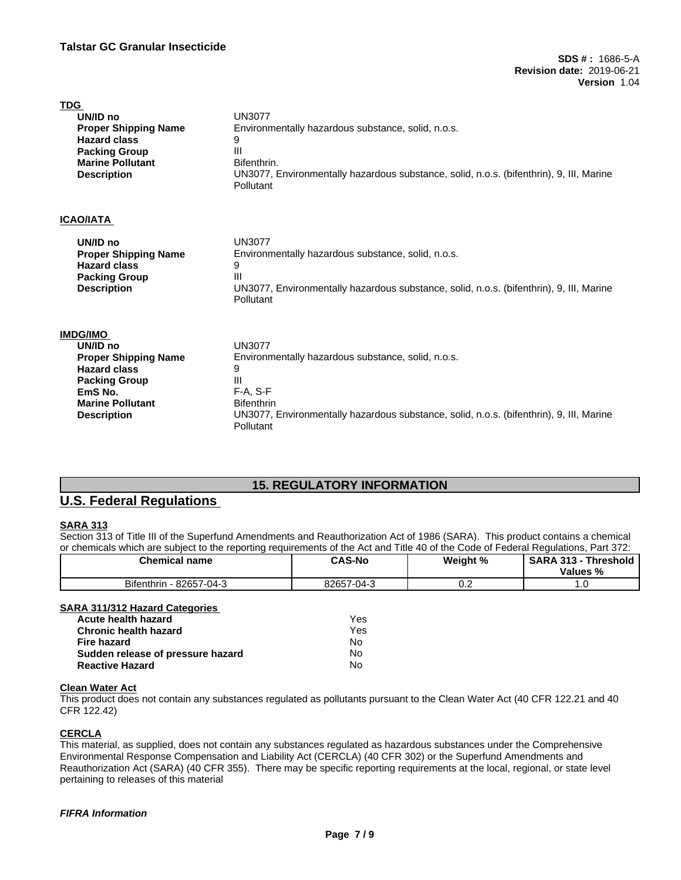| <b>UN3077</b><br>Environmentally hazardous substance, solid, n.o.s.<br>9<br>Ш<br>Bifenthrin.                                                                                                                             |
|--------------------------------------------------------------------------------------------------------------------------------------------------------------------------------------------------------------------------|
| UN3077, Environmentally hazardous substance, solid, n.o.s. (bifenthrin), 9, III, Marine<br>Pollutant                                                                                                                     |
|                                                                                                                                                                                                                          |
| <b>UN3077</b><br>Environmentally hazardous substance, solid, n.o.s.<br>9<br>Ш<br>UN3077, Environmentally hazardous substance, solid, n.o.s. (bifenthrin), 9, III, Marine<br>Pollutant                                    |
| <b>UN3077</b><br>Environmentally hazardous substance, solid, n.o.s.<br>9<br>Ш<br>$F-A, S-F$<br><b>Bifenthrin</b><br>UN3077, Environmentally hazardous substance, solid, n.o.s. (bifenthrin), 9, III, Marine<br>Pollutant |
|                                                                                                                                                                                                                          |

# **15. REGULATORY INFORMATION**

# **U.S. Federal Regulations**

## **SARA 313**

Section 313 of Title III of the Superfund Amendments and Reauthorization Act of 1986 (SARA). This product contains a chemical or chemicals which are subject to the reporting requirements of the Act and Title 40 of the Code of Federal Regulations, Part 372:

| <b>Chemical name</b>                                                                  | <b>CAS-No</b>    | Weight % | SARA 313 - Threshold<br>Values % |
|---------------------------------------------------------------------------------------|------------------|----------|----------------------------------|
| Bifenthrin - 82657-04-3                                                               | 82657-04-3       | 0.2      |                                  |
| <b>SARA 311/312 Hazard Categories</b><br>Acute health hazard<br>Chronic health hazard | Yes<br>Yes<br>No |          |                                  |
| Fire hazard<br>Sudden release of pressure hazard                                      | No               |          |                                  |
| <b>Reactive Hazard</b>                                                                | No               |          |                                  |

#### **Clean Water Act**

This product does not contain any substances regulated as pollutants pursuant to the Clean Water Act (40 CFR 122.21 and 40 CFR 122.42)

#### **CERCLA**

This material, as supplied, does not contain any substances regulated as hazardous substances under the Comprehensive Environmental Response Compensation and Liability Act (CERCLA) (40 CFR 302) or the Superfund Amendments and Reauthorization Act (SARA) (40 CFR 355). There may be specific reporting requirements at the local, regional, or state level pertaining to releases of this material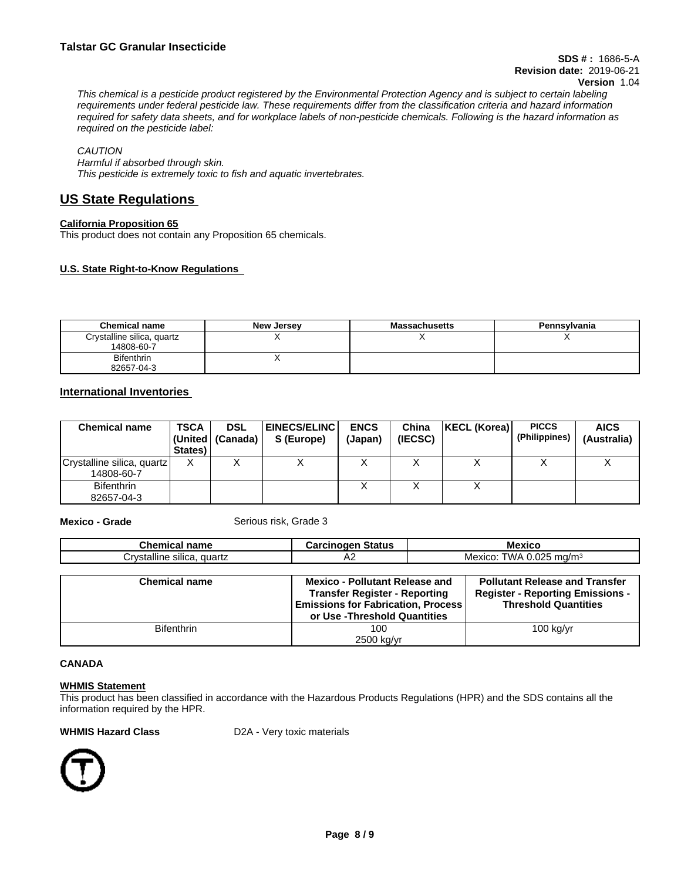This chemical is a pesticide product registered by the Environmental Protection Agency and is subject to certain labeling requirements under federal pesticide law. These requirements differ from the classification criteria and hazard information required for safety data sheets, and for workplace labels of non-pesticide chemicals. Following is the hazard information as *required on the pesticide label:*

*CAUTION*

*Harmful if absorbed through skin. This pesticide is extremely toxic to fish and aquatic invertebrates.*

# **US State Regulations**

## **California Proposition 65**

This product does not contain any Proposition 65 chemicals.

## **U.S. State Right-to-Know Regulations**

| <b>Chemical name</b>                     | New Jersey | <b>Massachusetts</b> | Pennsylvania |
|------------------------------------------|------------|----------------------|--------------|
| Crystalline silica, quartz<br>14808-60-7 |            |                      |              |
| <b>Bifenthrin</b><br>82657-04-3          |            |                      |              |

# **International Inventories**

| <b>Chemical name</b>                     | <b>TSCA</b><br>States) | <b>DSL</b><br> (United   (Canada) | <b>EINECS/ELINC  </b><br>S (Europe) | <b>ENCS</b><br>(Japan) | China<br>(IECSC) | KECL (Korea) | <b>PICCS</b><br>(Philippines) | <b>AICS</b><br>(Australia) |
|------------------------------------------|------------------------|-----------------------------------|-------------------------------------|------------------------|------------------|--------------|-------------------------------|----------------------------|
| Crystalline silica, quartz<br>14808-60-7 | $\checkmark$<br>Λ      |                                   |                                     |                        |                  |              |                               |                            |
| <b>Bifenthrin</b><br>82657-04-3          |                        |                                   |                                     |                        |                  |              |                               |                            |

**Mexico - Grade** Serious risk, Grade 3

| <b>Chemical name</b>       | <b>Carcinogen Status</b>                                                          | <b>Mexico</b>                                                          |  |
|----------------------------|-----------------------------------------------------------------------------------|------------------------------------------------------------------------|--|
| Crystalline silica, quartz | A2                                                                                | Mexico: TWA 0.025 mg/m <sup>3</sup>                                    |  |
|                            |                                                                                   |                                                                        |  |
| <b>Chemical name</b>       | <b>Mexico - Pollutant Release and</b>                                             | <b>Pollutant Release and Transfer</b>                                  |  |
|                            | <b>Transfer Register - Reporting</b><br><b>Emissions for Fabrication, Process</b> | <b>Register - Reporting Emissions -</b><br><b>Threshold Quantities</b> |  |
|                            | or Use - Threshold Quantities                                                     |                                                                        |  |
| <b>Bifenthrin</b>          | 100                                                                               | $100$ kg/yr                                                            |  |
|                            | 2500 kg/yr                                                                        |                                                                        |  |

#### **CANADA**

#### **WHMIS Statement**

This product has been classified in accordance with the Hazardous Products Regulations (HPR) and the SDS contains all the information required by the HPR.

**WHMIS Hazard Class** D2A - Very toxic materials